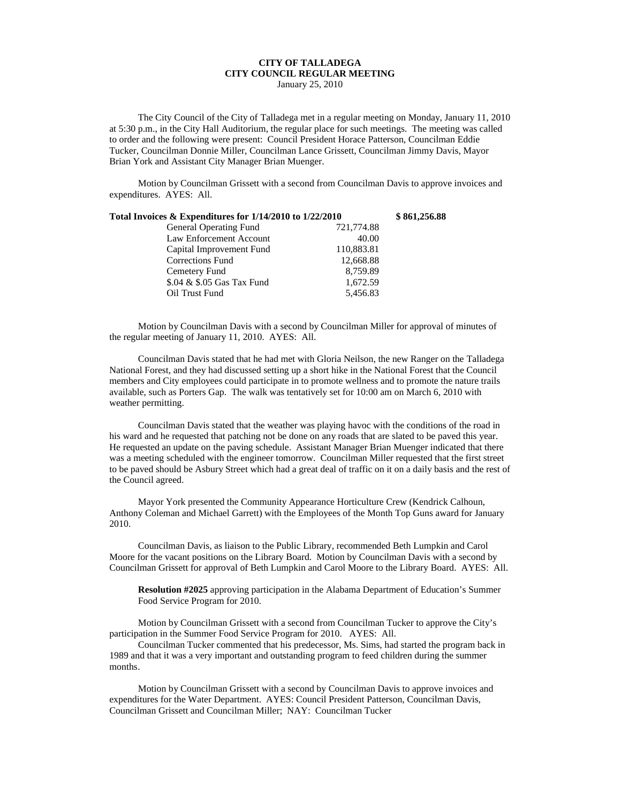## **CITY OF TALLADEGA CITY COUNCIL REGULAR MEETING**

January 25, 2010

The City Council of the City of Talladega met in a regular meeting on Monday, January 11, 2010 at 5:30 p.m., in the City Hall Auditorium, the regular place for such meetings. The meeting was called to order and the following were present: Council President Horace Patterson, Councilman Eddie Tucker, Councilman Donnie Miller, Councilman Lance Grissett, Councilman Jimmy Davis, Mayor Brian York and Assistant City Manager Brian Muenger.

Motion by Councilman Grissett with a second from Councilman Davis to approve invoices and expenditures. AYES: All.

| Total Invoices & Expenditures for 1/14/2010 to 1/22/2010 |            | \$861,256.88 |
|----------------------------------------------------------|------------|--------------|
| <b>General Operating Fund</b>                            | 721,774.88 |              |
| Law Enforcement Account                                  | 40.00      |              |
| Capital Improvement Fund                                 | 110,883.81 |              |
| <b>Corrections Fund</b>                                  | 12,668.88  |              |
| Cemetery Fund                                            | 8,759.89   |              |
| \$.04 & \$.05 Gas Tax Fund                               | 1,672.59   |              |
| Oil Trust Fund                                           | 5,456.83   |              |

Motion by Councilman Davis with a second by Councilman Miller for approval of minutes of the regular meeting of January 11, 2010. AYES: All.

Councilman Davis stated that he had met with Gloria Neilson, the new Ranger on the Talladega National Forest, and they had discussed setting up a short hike in the National Forest that the Council members and City employees could participate in to promote wellness and to promote the nature trails available, such as Porters Gap. The walk was tentatively set for 10:00 am on March 6, 2010 with weather permitting.

Councilman Davis stated that the weather was playing havoc with the conditions of the road in his ward and he requested that patching not be done on any roads that are slated to be paved this year. He requested an update on the paving schedule. Assistant Manager Brian Muenger indicated that there was a meeting scheduled with the engineer tomorrow. Councilman Miller requested that the first street to be paved should be Asbury Street which had a great deal of traffic on it on a daily basis and the rest of the Council agreed.

Mayor York presented the Community Appearance Horticulture Crew (Kendrick Calhoun, Anthony Coleman and Michael Garrett) with the Employees of the Month Top Guns award for January 2010.

Councilman Davis, as liaison to the Public Library, recommended Beth Lumpkin and Carol Moore for the vacant positions on the Library Board. Motion by Councilman Davis with a second by Councilman Grissett for approval of Beth Lumpkin and Carol Moore to the Library Board. AYES: All.

**Resolution #2025** approving participation in the Alabama Department of Education's Summer Food Service Program for 2010.

Motion by Councilman Grissett with a second from Councilman Tucker to approve the City's participation in the Summer Food Service Program for 2010. AYES: All.

Councilman Tucker commented that his predecessor, Ms. Sims, had started the program back in 1989 and that it was a very important and outstanding program to feed children during the summer months.

Motion by Councilman Grissett with a second by Councilman Davis to approve invoices and expenditures for the Water Department. AYES: Council President Patterson, Councilman Davis, Councilman Grissett and Councilman Miller; NAY: Councilman Tucker